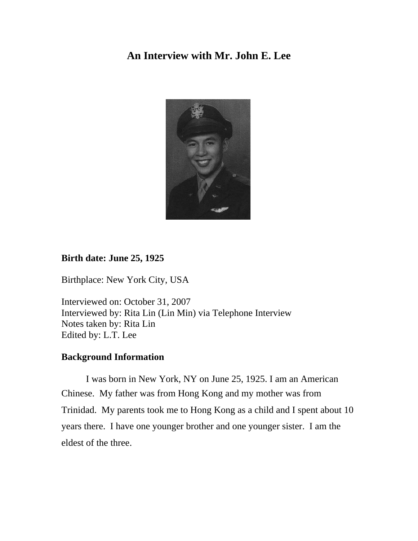## **An Interview with Mr. John E. Lee**



## **Birth date: June 25, 1925**

Birthplace: New York City, USA

Interviewed on: October 31, 2007 Interviewed by: Rita Lin (Lin Min) via Telephone Interview Notes taken by: Rita Lin Edited by: L.T. Lee

## **Background Information**

 I was born in New York, NY on June 25, 1925. I am an American Chinese. My father was from Hong Kong and my mother was from Trinidad. My parents took me to Hong Kong as a child and I spent about 10 years there. I have one younger brother and one younger sister. I am the eldest of the three.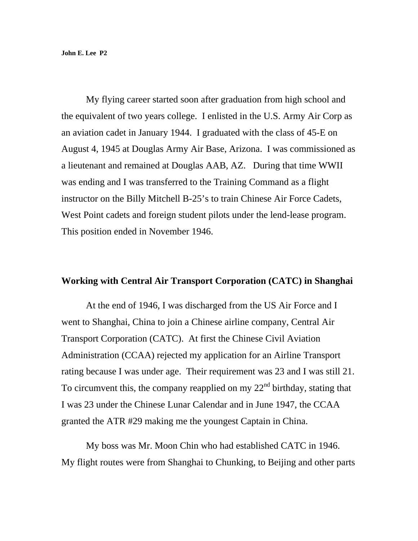My flying career started soon after graduation from high school and the equivalent of two years college. I enlisted in the U.S. Army Air Corp as an aviation cadet in January 1944. I graduated with the class of 45-E on August 4, 1945 at Douglas Army Air Base, Arizona. I was commissioned as a lieutenant and remained at Douglas AAB, AZ. During that time WWII was ending and I was transferred to the Training Command as a flight instructor on the Billy Mitchell B-25's to train Chinese Air Force Cadets, West Point cadets and foreign student pilots under the lend-lease program. This position ended in November 1946.

#### **Working with Central Air Transport Corporation (CATC) in Shanghai**

 At the end of 1946, I was discharged from the US Air Force and I went to Shanghai, China to join a Chinese airline company, Central Air Transport Corporation (CATC). At first the Chinese Civil Aviation Administration (CCAA) rejected my application for an Airline Transport rating because I was under age. Their requirement was 23 and I was still 21. To circumvent this, the company reapplied on my  $22<sup>nd</sup>$  birthday, stating that I was 23 under the Chinese Lunar Calendar and in June 1947, the CCAA granted the ATR #29 making me the youngest Captain in China.

 My boss was Mr. Moon Chin who had established CATC in 1946. My flight routes were from Shanghai to Chunking, to Beijing and other parts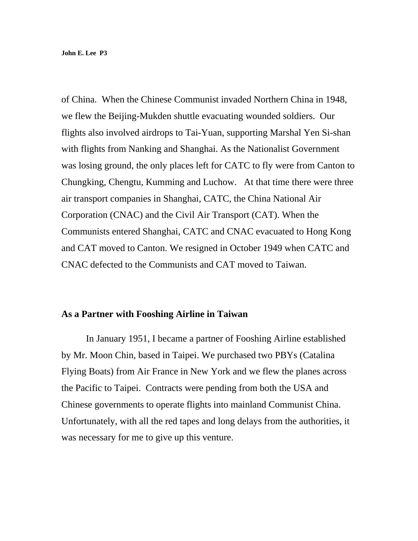of China. When the Chinese Communist invaded Northern China in 1948, we flew the Beijing-Mukden shuttle evacuating wounded soldiers. Our flights also involved airdrops to Tai-Yuan, supporting Marshal Yen Si-shan with flights from Nanking and Shanghai. As the Nationalist Government was losing ground, the only places left for CATC to fly were from Canton to Chungking, Chengtu, Kumming and Luchow. At that time there were three air transport companies in Shanghai, CATC, the China National Air Corporation (CNAC) and the Civil Air Transport (CAT). When the Communists entered Shanghai, CATC and CNAC evacuated to Hong Kong and CAT moved to Canton. We resigned in October 1949 when CATC and CNAC defected to the Communists and CAT moved to Taiwan.

#### **As a Partner with Fooshing Airline in Taiwan**

In January 1951, I became a partner of Fooshing Airline established by Mr. Moon Chin, based in Taipei. We purchased two PBYs (Catalina Flying Boats) from Air France in New York and we flew the planes across the Pacific to Taipei. Contracts were pending from both the USA and Chinese governments to operate flights into mainland Communist China. Unfortunately, with all the red tapes and long delays from the authorities, it was necessary for me to give up this venture.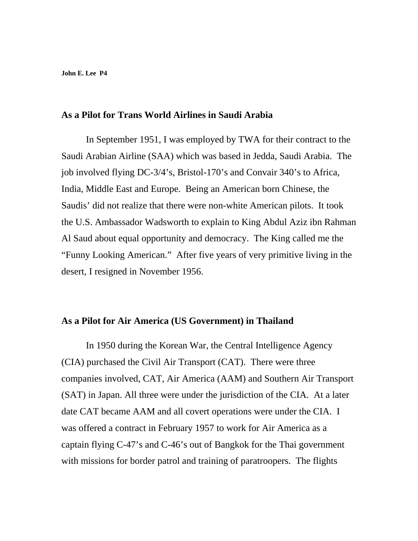## **As a Pilot for Trans World Airlines in Saudi Arabia**

In September 1951, I was employed by TWA for their contract to the Saudi Arabian Airline (SAA) which was based in Jedda, Saudi Arabia. The job involved flying DC-3/4's, Bristol-170's and Convair 340's to Africa, India, Middle East and Europe. Being an American born Chinese, the Saudis' did not realize that there were non-white American pilots. It took the U.S. Ambassador Wadsworth to explain to King Abdul Aziz ibn Rahman Al Saud about equal opportunity and democracy. The King called me the "Funny Looking American." After five years of very primitive living in the desert, I resigned in November 1956.

### **As a Pilot for Air America (US Government) in Thailand**

In 1950 during the Korean War, the Central Intelligence Agency (CIA) purchased the Civil Air Transport (CAT). There were three companies involved, CAT, Air America (AAM) and Southern Air Transport (SAT) in Japan. All three were under the jurisdiction of the CIA. At a later date CAT became AAM and all covert operations were under the CIA. I was offered a contract in February 1957 to work for Air America as a captain flying C-47's and C-46's out of Bangkok for the Thai government with missions for border patrol and training of paratroopers. The flights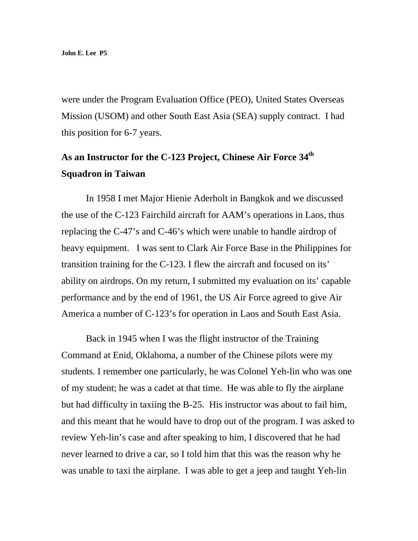were under the Program Evaluation Office (PEO), United States Overseas Mission (USOM) and other South East Asia (SEA) supply contract. I had this position for 6-7 years.

# **As an Instructor for the C-123 Project, Chinese Air Force 34th Squadron in Taiwan**

 In 1958 I met Major Hienie Aderholt in Bangkok and we discussed the use of the C-123 Fairchild aircraft for AAM's operations in Laos, thus replacing the C-47's and C-46's which were unable to handle airdrop of heavy equipment. I was sent to Clark Air Force Base in the Philippines for transition training for the C-123. I flew the aircraft and focused on its' ability on airdrops. On my return, I submitted my evaluation on its' capable performance and by the end of 1961, the US Air Force agreed to give Air America a number of C-123's for operation in Laos and South East Asia.

 Back in 1945 when I was the flight instructor of the Training Command at Enid, Oklahoma, a number of the Chinese pilots were my students. I remember one particularly, he was Colonel Yeh-lin who was one of my student; he was a cadet at that time. He was able to fly the airplane but had difficulty in taxiing the B-25. His instructor was about to fail him, and this meant that he would have to drop out of the program. I was asked to review Yeh-lin's case and after speaking to him, I discovered that he had never learned to drive a car, so I told him that this was the reason why he was unable to taxi the airplane. I was able to get a jeep and taught Yeh-lin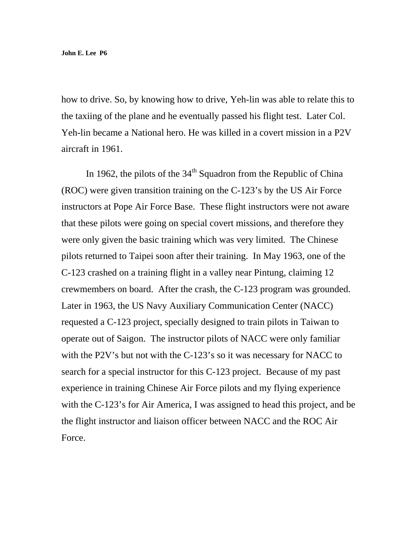how to drive. So, by knowing how to drive, Yeh-lin was able to relate this to the taxiing of the plane and he eventually passed his flight test. Later Col. Yeh-lin became a National hero. He was killed in a covert mission in a P2V aircraft in 1961.

In 1962, the pilots of the  $34<sup>th</sup>$  Squadron from the Republic of China (ROC) were given transition training on the C-123's by the US Air Force instructors at Pope Air Force Base. These flight instructors were not aware that these pilots were going on special covert missions, and therefore they were only given the basic training which was very limited. The Chinese pilots returned to Taipei soon after their training. In May 1963, one of the C-123 crashed on a training flight in a valley near Pintung, claiming 12 crewmembers on board. After the crash, the C-123 program was grounded. Later in 1963, the US Navy Auxiliary Communication Center (NACC) requested a C-123 project, specially designed to train pilots in Taiwan to operate out of Saigon. The instructor pilots of NACC were only familiar with the P2V's but not with the C-123's so it was necessary for NACC to search for a special instructor for this C-123 project. Because of my past experience in training Chinese Air Force pilots and my flying experience with the C-123's for Air America, I was assigned to head this project, and be the flight instructor and liaison officer between NACC and the ROC Air Force.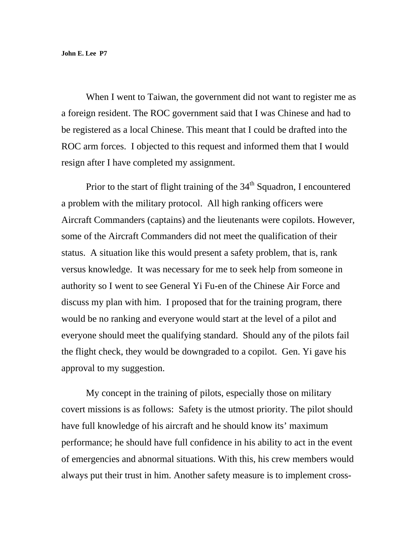When I went to Taiwan, the government did not want to register me as a foreign resident. The ROC government said that I was Chinese and had to be registered as a local Chinese. This meant that I could be drafted into the ROC arm forces. I objected to this request and informed them that I would resign after I have completed my assignment.

Prior to the start of flight training of the  $34<sup>th</sup>$  Squadron, I encountered a problem with the military protocol. All high ranking officers were Aircraft Commanders (captains) and the lieutenants were copilots. However, some of the Aircraft Commanders did not meet the qualification of their status. A situation like this would present a safety problem, that is, rank versus knowledge. It was necessary for me to seek help from someone in authority so I went to see General Yi Fu-en of the Chinese Air Force and discuss my plan with him. I proposed that for the training program, there would be no ranking and everyone would start at the level of a pilot and everyone should meet the qualifying standard. Should any of the pilots fail the flight check, they would be downgraded to a copilot. Gen. Yi gave his approval to my suggestion.

My concept in the training of pilots, especially those on military covert missions is as follows: Safety is the utmost priority. The pilot should have full knowledge of his aircraft and he should know its' maximum performance; he should have full confidence in his ability to act in the event of emergencies and abnormal situations. With this, his crew members would always put their trust in him. Another safety measure is to implement cross-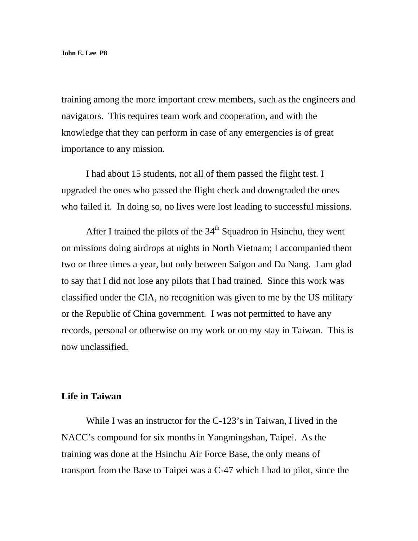training among the more important crew members, such as the engineers and navigators. This requires team work and cooperation, and with the knowledge that they can perform in case of any emergencies is of great importance to any mission.

I had about 15 students, not all of them passed the flight test. I upgraded the ones who passed the flight check and downgraded the ones who failed it. In doing so, no lives were lost leading to successful missions.

After I trained the pilots of the 34<sup>th</sup> Squadron in Hsinchu, they went on missions doing airdrops at nights in North Vietnam; I accompanied them two or three times a year, but only between Saigon and Da Nang. I am glad to say that I did not lose any pilots that I had trained. Since this work was classified under the CIA, no recognition was given to me by the US military or the Republic of China government. I was not permitted to have any records, personal or otherwise on my work or on my stay in Taiwan. This is now unclassified.

#### **Life in Taiwan**

While I was an instructor for the C-123's in Taiwan, I lived in the NACC's compound for six months in Yangmingshan, Taipei. As the training was done at the Hsinchu Air Force Base, the only means of transport from the Base to Taipei was a C-47 which I had to pilot, since the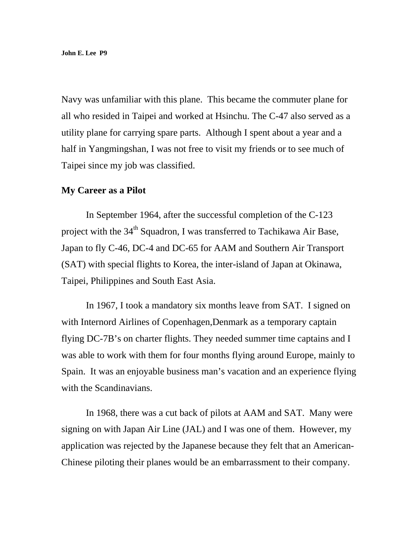Navy was unfamiliar with this plane. This became the commuter plane for all who resided in Taipei and worked at Hsinchu. The C-47 also served as a utility plane for carrying spare parts. Although I spent about a year and a half in Yangmingshan, I was not free to visit my friends or to see much of Taipei since my job was classified.

#### **My Career as a Pilot**

In September 1964, after the successful completion of the C-123 project with the 34<sup>th</sup> Squadron, I was transferred to Tachikawa Air Base, Japan to fly C-46, DC-4 and DC-65 for AAM and Southern Air Transport (SAT) with special flights to Korea, the inter-island of Japan at Okinawa, Taipei, Philippines and South East Asia.

 In 1967, I took a mandatory six months leave from SAT. I signed on with Internord Airlines of Copenhagen,Denmark as a temporary captain flying DC-7B's on charter flights. They needed summer time captains and I was able to work with them for four months flying around Europe, mainly to Spain. It was an enjoyable business man's vacation and an experience flying with the Scandinavians.

 In 1968, there was a cut back of pilots at AAM and SAT. Many were signing on with Japan Air Line (JAL) and I was one of them. However, my application was rejected by the Japanese because they felt that an American-Chinese piloting their planes would be an embarrassment to their company.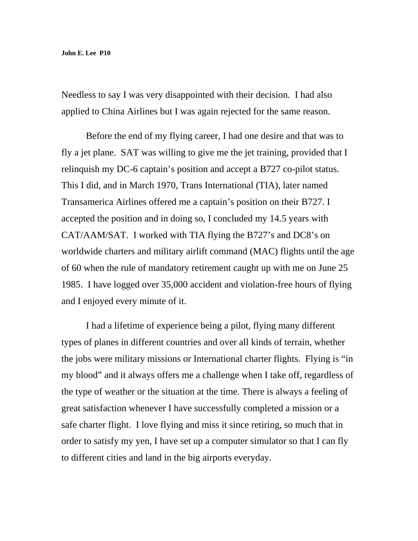Needless to say I was very disappointed with their decision. I had also applied to China Airlines but I was again rejected for the same reason.

Before the end of my flying career, I had one desire and that was to fly a jet plane. SAT was willing to give me the jet training, provided that I relinquish my DC-6 captain's position and accept a B727 co-pilot status. This I did, and in March 1970, Trans International (TIA), later named Transamerica Airlines offered me a captain's position on their B727. I accepted the position and in doing so, I concluded my 14.5 years with CAT/AAM/SAT. I worked with TIA flying the B727's and DC8's on worldwide charters and military airlift command (MAC) flights until the age of 60 when the rule of mandatory retirement caught up with me on June 25 1985. I have logged over 35,000 accident and violation-free hours of flying and I enjoyed every minute of it.

 I had a lifetime of experience being a pilot, flying many different types of planes in different countries and over all kinds of terrain, whether the jobs were military missions or International charter flights. Flying is "in my blood" and it always offers me a challenge when I take off, regardless of the type of weather or the situation at the time. There is always a feeling of great satisfaction whenever I have successfully completed a mission or a safe charter flight. I love flying and miss it since retiring, so much that in order to satisfy my yen, I have set up a computer simulator so that I can fly to different cities and land in the big airports everyday.